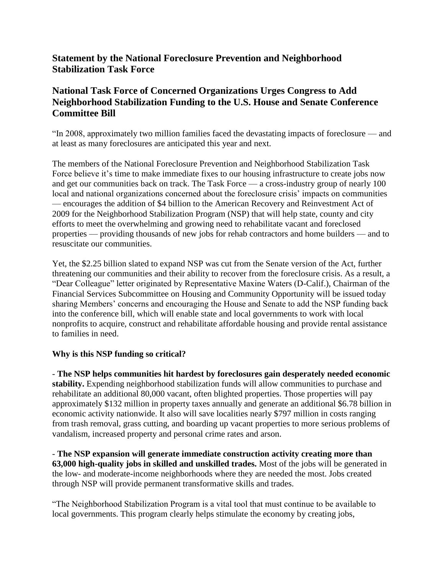## **Statement by the National Foreclosure Prevention and Neighborhood Stabilization Task Force**

## **National Task Force of Concerned Organizations Urges Congress to Add Neighborhood Stabilization Funding to the U.S. House and Senate Conference Committee Bill**

"In 2008, approximately two million families faced the devastating impacts of foreclosure — and at least as many foreclosures are anticipated this year and next.

The members of the National Foreclosure Prevention and Neighborhood Stabilization Task Force believe it's time to make immediate fixes to our housing infrastructure to create jobs now and get our communities back on track. The Task Force — a cross-industry group of nearly 100 local and national organizations concerned about the foreclosure crisis' impacts on communities — encourages the addition of \$4 billion to the American Recovery and Reinvestment Act of 2009 for the Neighborhood Stabilization Program (NSP) that will help state, county and city efforts to meet the overwhelming and growing need to rehabilitate vacant and foreclosed properties — providing thousands of new jobs for rehab contractors and home builders — and to resuscitate our communities.

Yet, the \$2.25 billion slated to expand NSP was cut from the Senate version of the Act, further threatening our communities and their ability to recover from the foreclosure crisis. As a result, a "Dear Colleague" letter originated by Representative Maxine Waters (D-Calif.), Chairman of the Financial Services Subcommittee on Housing and Community Opportunity will be issued today sharing Members' concerns and encouraging the House and Senate to add the NSP funding back into the conference bill, which will enable state and local governments to work with local nonprofits to acquire, construct and rehabilitate affordable housing and provide rental assistance to families in need.

## **Why is this NSP funding so critical?**

- **The NSP helps communities hit hardest by foreclosures gain desperately needed economic stability.** Expending neighborhood stabilization funds will allow communities to purchase and rehabilitate an additional 80,000 vacant, often blighted properties. Those properties will pay approximately \$132 million in property taxes annually and generate an additional \$6.78 billion in economic activity nationwide. It also will save localities nearly \$797 million in costs ranging from trash removal, grass cutting, and boarding up vacant properties to more serious problems of vandalism, increased property and personal crime rates and arson.

- **The NSP expansion will generate immediate construction activity creating more than 63,000 high-quality jobs in skilled and unskilled trades.** Most of the jobs will be generated in the low- and moderate-income neighborhoods where they are needed the most. Jobs created through NSP will provide permanent transformative skills and trades.

"The Neighborhood Stabilization Program is a vital tool that must continue to be available to local governments. This program clearly helps stimulate the economy by creating jobs,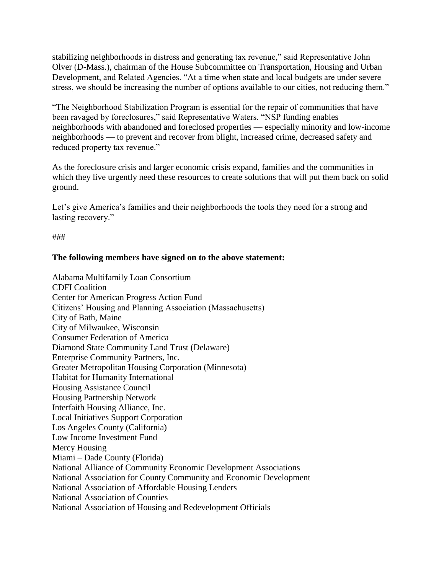stabilizing neighborhoods in distress and generating tax revenue," said Representative John Olver (D-Mass.), chairman of the House Subcommittee on Transportation, Housing and Urban Development, and Related Agencies. "At a time when state and local budgets are under severe stress, we should be increasing the number of options available to our cities, not reducing them."

"The Neighborhood Stabilization Program is essential for the repair of communities that have been ravaged by foreclosures," said Representative Waters. "NSP funding enables neighborhoods with abandoned and foreclosed properties — especially minority and low-income neighborhoods — to prevent and recover from blight, increased crime, decreased safety and reduced property tax revenue."

As the foreclosure crisis and larger economic crisis expand, families and the communities in which they live urgently need these resources to create solutions that will put them back on solid ground.

Let's give America's families and their neighborhoods the tools they need for a strong and lasting recovery."

###

## **The following members have signed on to the above statement:**

Alabama Multifamily Loan Consortium CDFI Coalition Center for American Progress Action Fund Citizens' Housing and Planning Association (Massachusetts) City of Bath, Maine City of Milwaukee, Wisconsin Consumer Federation of America Diamond State Community Land Trust (Delaware) Enterprise Community Partners, Inc. Greater Metropolitan Housing Corporation (Minnesota) Habitat for Humanity International Housing Assistance Council Housing Partnership Network Interfaith Housing Alliance, Inc. Local Initiatives Support Corporation Los Angeles County (California) Low Income Investment Fund Mercy Housing Miami – Dade County (Florida) National Alliance of Community Economic Development Associations National Association for County Community and Economic Development National Association of Affordable Housing Lenders National Association of Counties National Association of Housing and Redevelopment Officials